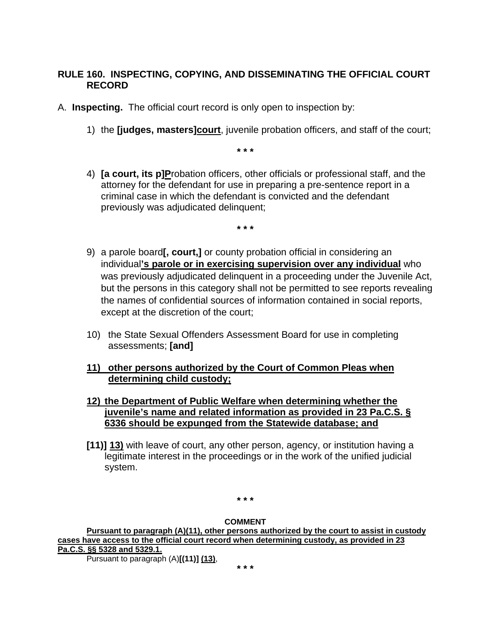# **RULE 160. INSPECTING, COPYING, AND DISSEMINATING THE OFFICIAL COURT RECORD**

A. **Inspecting.** The official court record is only open to inspection by:

1) the **[judges, masters]court**, juvenile probation officers, and staff of the court;

**\* \* \***

4) **[a court, its p]P**robation officers, other officials or professional staff, and the attorney for the defendant for use in preparing a pre-sentence report in a criminal case in which the defendant is convicted and the defendant previously was adjudicated delinquent;

**\* \* \***

- 9) a parole board**[, court,]** or county probation official in considering an individual**'s parole or in exercising supervision over any individual** who was previously adjudicated delinquent in a proceeding under the Juvenile Act, but the persons in this category shall not be permitted to see reports revealing the names of confidential sources of information contained in social reports, except at the discretion of the court;
- 10) the State Sexual Offenders Assessment Board for use in completing assessments; **[and]**

# **11) other persons authorized by the Court of Common Pleas when determining child custody;**

- **12) the Department of Public Welfare when determining whether the juvenile's name and related information as provided in 23 Pa.C.S. § 6336 should be expunged from the Statewide database; and**
- **[11)] 13)** with leave of court, any other person, agency, or institution having a legitimate interest in the proceedings or in the work of the unified judicial system.

**\* \* \***

#### **COMMENT**

**Pursuant to paragraph (A)(11), other persons authorized by the court to assist in custody cases have access to the official court record when determining custody, as provided in 23 Pa.C.S. §§ 5328 and 5329.1.**  Pursuant to paragraph (A)**[(11)] (13)**,

**\* \* \***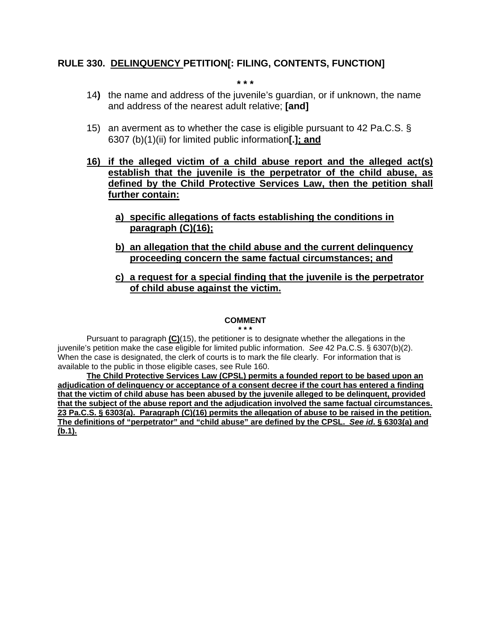#### **RULE 330. DELINQUENCY PETITION[: FILING, CONTENTS, FUNCTION]**

**\* \* \***

- 14**)** the name and address of the juvenile's guardian, or if unknown, the name and address of the nearest adult relative; **[and]**
- 15) an averment as to whether the case is eligible pursuant to 42 Pa.C.S. § 6307 (b)(1)(ii) for limited public information**[.]; and**
- **16) if the alleged victim of a child abuse report and the alleged act(s) establish that the juvenile is the perpetrator of the child abuse, as defined by the Child Protective Services Law, then the petition shall further contain:**
	- **a) specific allegations of facts establishing the conditions in paragraph (C)(16);**
	- **b) an allegation that the child abuse and the current delinquency proceeding concern the same factual circumstances; and**
	- **c) a request for a special finding that the juvenile is the perpetrator of child abuse against the victim.**

#### **COMMENT**

**\* \* \***

Pursuant to paragraph **(C)**(15), the petitioner is to designate whether the allegations in the juvenile's petition make the case eligible for limited public information. *See* 42 Pa.C.S. § 6307(b)(2). When the case is designated, the clerk of courts is to mark the file clearly. For information that is available to the public in those eligible cases, see Rule 160.

**The Child Protective Services Law (CPSL) permits a founded report to be based upon an adjudication of delinquency or acceptance of a consent decree if the court has entered a finding that the victim of child abuse has been abused by the juvenile alleged to be delinquent, provided that the subject of the abuse report and the adjudication involved the same factual circumstances. 23 Pa.C.S. § 6303(a). Paragraph (C)(16) permits the allegation of abuse to be raised in the petition. The definitions of "perpetrator" and "child abuse" are defined by the CPSL.** *See id***. § 6303(a) and (b.1).**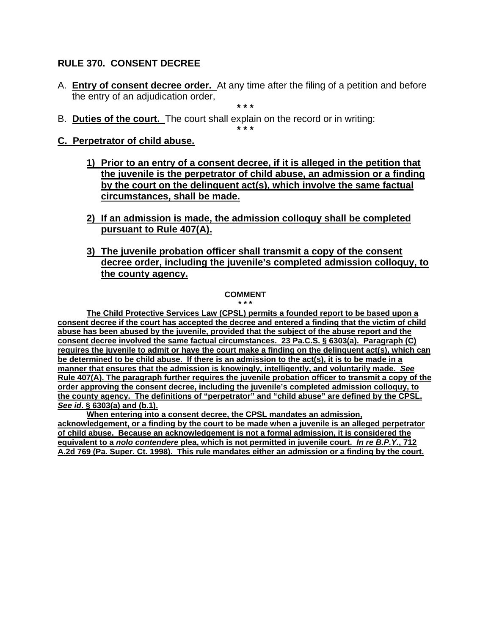# **RULE 370. CONSENT DECREE**

A. **Entry of consent decree order.** At any time after the filing of a petition and before the entry of an adjudication order,

**\* \* \***

**\* \* \***

B. **Duties of the court.** The court shall explain on the record or in writing:

### **C. Perpetrator of child abuse.**

- **1) Prior to an entry of a consent decree, if it is alleged in the petition that the juvenile is the perpetrator of child abuse, an admission or a finding by the court on the delinquent act(s), which involve the same factual circumstances, shall be made.**
- **2) If an admission is made, the admission colloquy shall be completed pursuant to Rule 407(A).**
- **3) The juvenile probation officer shall transmit a copy of the consent decree order, including the juvenile's completed admission colloquy, to the county agency.**

# **COMMENT**

**\* \* \* The Child Protective Services Law (CPSL) permits a founded report to be based upon a consent decree if the court has accepted the decree and entered a finding that the victim of child abuse has been abused by the juvenile, provided that the subject of the abuse report and the consent decree involved the same factual circumstances. 23 Pa.C.S. § 6303(a). Paragraph (C) requires the juvenile to admit or have the court make a finding on the delinquent act(s), which can be determined to be child abuse. If there is an admission to the act(s), it is to be made in a manner that ensures that the admission is knowingly, intelligently, and voluntarily made.** *See*  **Rule 407(A). The paragraph further requires the juvenile probation officer to transmit a copy of the order approving the consent decree, including the juvenile's completed admission colloquy, to the county agency. The definitions of "perpetrator" and "child abuse" are defined by the CPSL.**  *See id***. § 6303(a) and (b.1).**

**When entering into a consent decree, the CPSL mandates an admission, acknowledgement, or a finding by the court to be made when a juvenile is an alleged perpetrator of child abuse. Because an acknowledgement is not a formal admission, it is considered the equivalent to a** *nolo contendere* **plea, which is not permitted in juvenile court.** *In re B.P.Y.***, 712 A.2d 769 (Pa. Super. Ct. 1998). This rule mandates either an admission or a finding by the court.**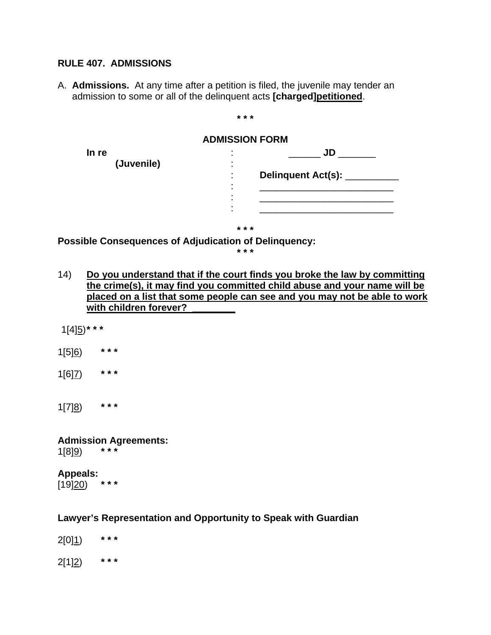### **RULE 407. ADMISSIONS**

A. **Admissions.** At any time after a petition is filed, the juvenile may tender an admission to some or all of the delinquent acts **[charged]petitioned**.

**ADMISSION FORM In re** : \_\_\_\_\_\_ **JD** \_\_\_\_\_\_\_ **(Juvenile)** : : **Delinquent Act(s):** \_\_\_\_\_\_\_\_\_\_ : \_\_\_\_\_\_\_\_\_\_\_\_\_\_\_\_\_\_\_\_\_\_\_\_\_ : \_\_\_\_\_\_\_\_\_\_\_\_\_\_\_\_\_\_\_\_\_\_\_\_\_ : \_\_\_\_\_\_\_\_\_\_\_\_\_\_\_\_\_\_\_\_\_\_\_\_\_ **\* \* \***

**\* \* \***

**Possible Consequences of Adjudication of Delinquency:**

**\* \* \***

- 14) **Do you understand that if the court finds you broke the law by committing the crime(s), it may find you committed child abuse and your name will be placed on a list that some people can see and you may not be able to work with children forever? \_\_\_\_\_\_\_\_**
- 1[4]5)**\* \* \***
- 1[5]6) **\* \* \***
- 1[6]7) **\* \* \***

1[7]8) **\* \* \***

**Admission Agreements:** 1[8]9) **\* \* \***

### **Appeals:**<br>[19]20) \*\*\* [19]<u>20</u>)

### **Lawyer's Representation and Opportunity to Speak with Guardian**

2[0]1) **\* \* \*** 2[1]2) **\* \* \***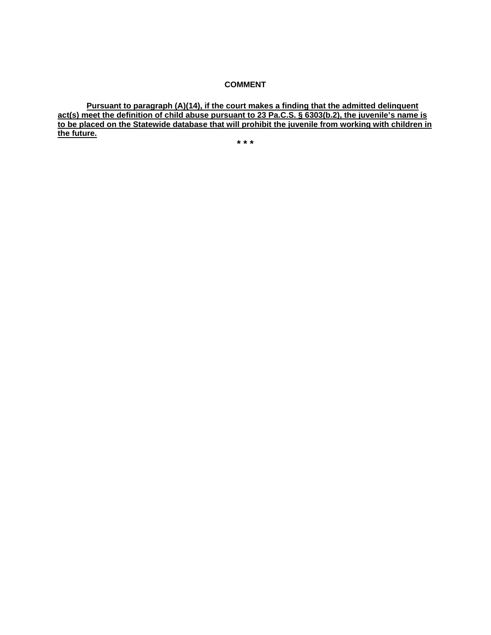#### **COMMENT**

**Pursuant to paragraph (A)(14), if the court makes a finding that the admitted delinquent act(s) meet the definition of child abuse pursuant to 23 Pa.C.S. § 6303(b.2), the juvenile's name is to be placed on the Statewide database that will prohibit the juvenile from working with children in the future.** 

**\* \* \***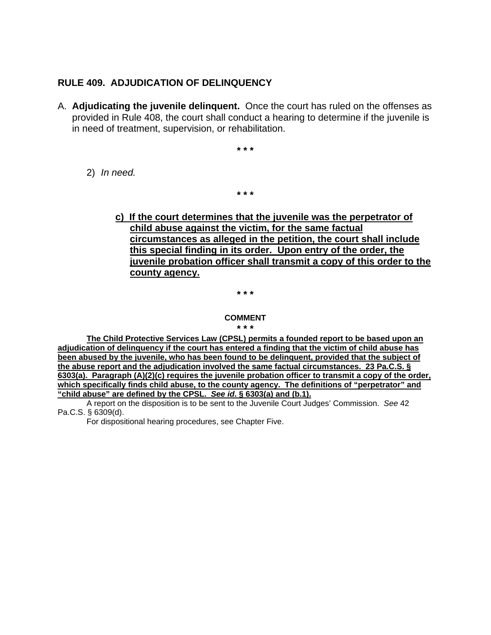### **RULE 409. ADJUDICATION OF DELINQUENCY**

A. **Adjudicating the juvenile delinquent.** Once the court has ruled on the offenses as provided in Rule 408, the court shall conduct a hearing to determine if the juvenile is in need of treatment, supervision, or rehabilitation.

**\* \* \***

**\* \* \***

2) *In need.*

# **c) If the court determines that the juvenile was the perpetrator of child abuse against the victim, for the same factual circumstances as alleged in the petition, the court shall include this special finding in its order. Upon entry of the order, the juvenile probation officer shall transmit a copy of this order to the county agency.**

**\* \* \***

#### **COMMENT**

**\* \* \***

**The Child Protective Services Law (CPSL) permits a founded report to be based upon an adjudication of delinquency if the court has entered a finding that the victim of child abuse has been abused by the juvenile, who has been found to be delinquent, provided that the subject of the abuse report and the adjudication involved the same factual circumstances. 23 Pa.C.S. § 6303(a). Paragraph (A)(2)(c) requires the juvenile probation officer to transmit a copy of the order, which specifically finds child abuse, to the county agency. The definitions of "perpetrator" and "child abuse" are defined by the CPSL.** *See id***. § 6303(a) and (b.1).**

A report on the disposition is to be sent to the Juvenile Court Judges' Commission. *See* 42 Pa.C.S. § 6309(d).

For dispositional hearing procedures, see Chapter Five.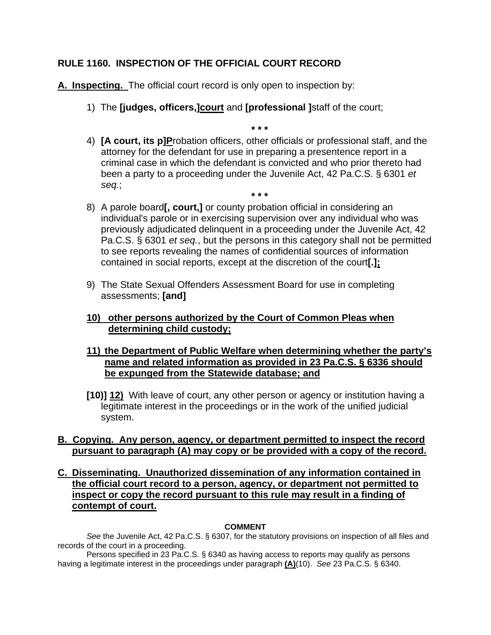# **RULE 1160. INSPECTION OF THE OFFICIAL COURT RECORD**

**A. Inspecting.** The official court record is only open to inspection by:

- 1) The **[judges, officers,]court** and **[professional ]**staff of the court;
- 4) **[A court, its p]P**robation officers, other officials or professional staff, and the attorney for the defendant for use in preparing a presentence report in a criminal case in which the defendant is convicted and who prior thereto had been a party to a proceeding under the Juvenile Act, 42 Pa.C.S. § 6301 *et seq.*;

**\* \* \***

- **\* \* \*** 8) A parole board**[, court,]** or county probation official in considering an individual's parole or in exercising supervision over any individual who was previously adjudicated delinquent in a proceeding under the Juvenile Act, 42 Pa.C.S. § 6301 *et seq.*, but the persons in this category shall not be permitted to see reports revealing the names of confidential sources of information contained in social reports, except at the discretion of the court**[.];**
- 9) The State Sexual Offenders Assessment Board for use in completing assessments; **[and]**

# **10) other persons authorized by the Court of Common Pleas when determining child custody;**

# **11) the Department of Public Welfare when determining whether the party's name and related information as provided in 23 Pa.C.S. § 6336 should be expunged from the Statewide database; and**

**[10)] 12)** With leave of court, any other person or agency or institution having a legitimate interest in the proceedings or in the work of the unified judicial system.

# **B. Copying. Any person, agency, or department permitted to inspect the record pursuant to paragraph (A) may copy or be provided with a copy of the record.**

#### **C. Disseminating. Unauthorized dissemination of any information contained in the official court record to a person, agency, or department not permitted to inspect or copy the record pursuant to this rule may result in a finding of contempt of court.**

#### **COMMENT**

*See* the Juvenile Act, 42 Pa.C.S. § 6307, for the statutory provisions on inspection of all files and records of the court in a proceeding.

Persons specified in 23 Pa.C.S. § 6340 as having access to reports may qualify as persons having a legitimate interest in the proceedings under paragraph **(A)**(10). *See* 23 Pa.C.S. § 6340.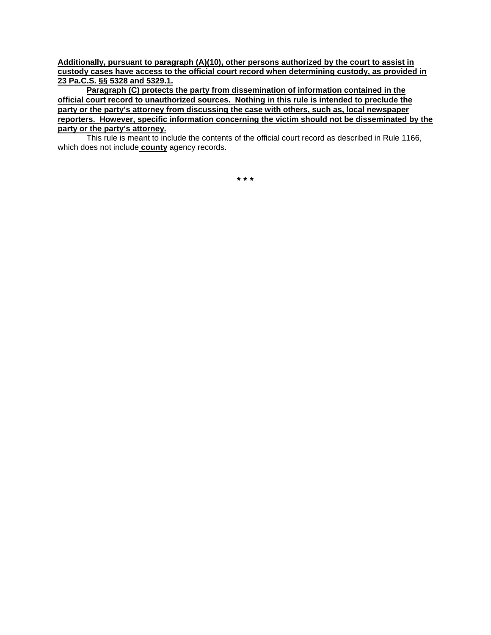**Additionally, pursuant to paragraph (A)(10), other persons authorized by the court to assist in custody cases have access to the official court record when determining custody, as provided in 23 Pa.C.S. §§ 5328 and 5329.1.**

**Paragraph (C) protects the party from dissemination of information contained in the official court record to unauthorized sources. Nothing in this rule is intended to preclude the party or the party's attorney from discussing the case with others, such as, local newspaper reporters. However, specific information concerning the victim should not be disseminated by the party or the party's attorney.** 

This rule is meant to include the contents of the official court record as described in Rule 1166, which does not include **county** agency records.

**\* \* \***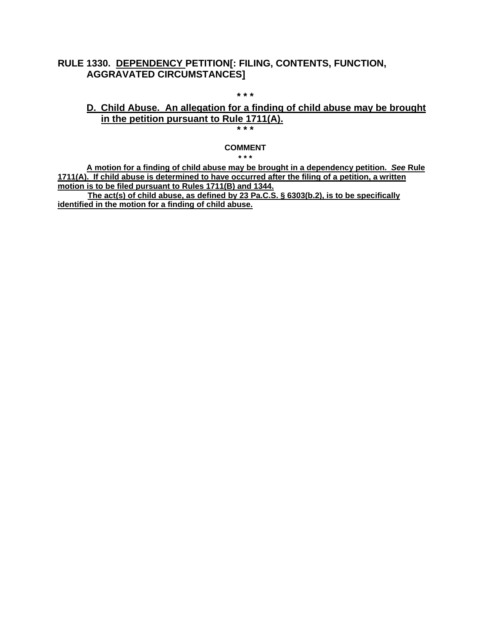### **RULE 1330. DEPENDENCY PETITION[: FILING, CONTENTS, FUNCTION, AGGRAVATED CIRCUMSTANCES]**

# **D. Child Abuse. An allegation for a finding of child abuse may be brought in the petition pursuant to Rule 1711(A).**

**\* \* \***

**\* \* \***

#### **COMMENT**

**\* \* \***

**A motion for a finding of child abuse may be brought in a dependency petition.** *See* **Rule 1711(A). If child abuse is determined to have occurred after the filing of a petition, a written motion is to be filed pursuant to Rules 1711(B) and 1344.**

**The act(s) of child abuse, as defined by 23 Pa.C.S. § 6303(b.2), is to be specifically identified in the motion for a finding of child abuse.**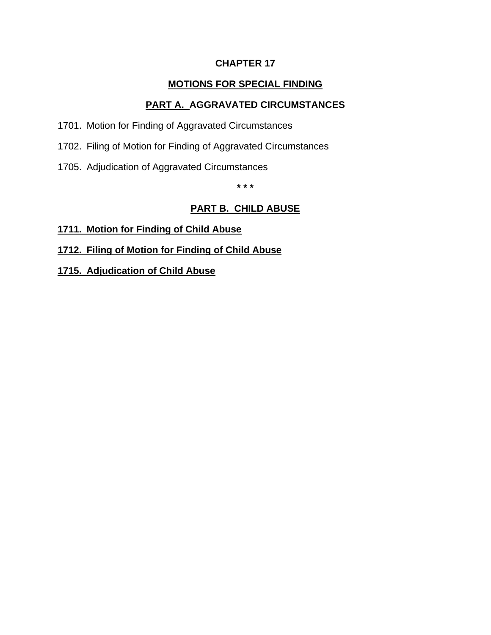# **CHAPTER 17**

# **MOTIONS FOR SPECIAL FINDING**

# **PART A. AGGRAVATED CIRCUMSTANCES**

- 1701. Motion for Finding of Aggravated Circumstances
- 1702. Filing of Motion for Finding of Aggravated Circumstances
- 1705. Adjudication of Aggravated Circumstances

**\* \* \***

# **PART B. CHILD ABUSE**

- **1711. Motion for Finding of Child Abuse**
- **1712. Filing of Motion for Finding of Child Abuse**
- **1715. Adjudication of Child Abuse**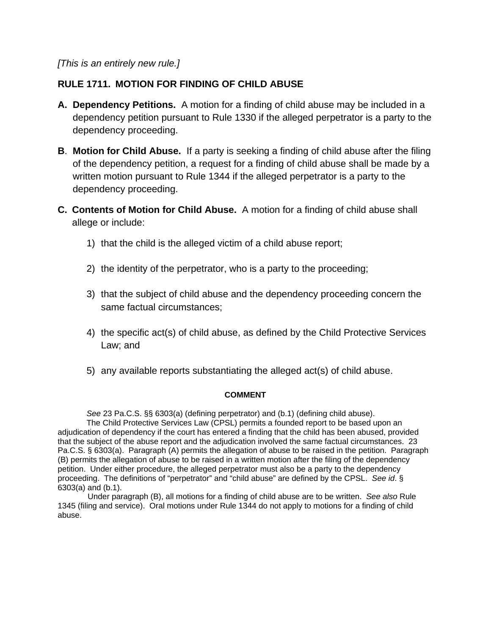*[This is an entirely new rule.]*

# **RULE 1711. MOTION FOR FINDING OF CHILD ABUSE**

- **A. Dependency Petitions.** A motion for a finding of child abuse may be included in a dependency petition pursuant to Rule 1330 if the alleged perpetrator is a party to the dependency proceeding.
- **B**. **Motion for Child Abuse.** If a party is seeking a finding of child abuse after the filing of the dependency petition, a request for a finding of child abuse shall be made by a written motion pursuant to Rule 1344 if the alleged perpetrator is a party to the dependency proceeding.
- **C. Contents of Motion for Child Abuse.** A motion for a finding of child abuse shall allege or include:
	- 1) that the child is the alleged victim of a child abuse report;
	- 2) the identity of the perpetrator, who is a party to the proceeding;
	- 3) that the subject of child abuse and the dependency proceeding concern the same factual circumstances;
	- 4) the specific act(s) of child abuse, as defined by the Child Protective Services Law; and
	- 5) any available reports substantiating the alleged act(s) of child abuse.

#### **COMMENT**

*See* 23 Pa.C.S. §§ 6303(a) (defining perpetrator) and (b.1) (defining child abuse).

The Child Protective Services Law (CPSL) permits a founded report to be based upon an adjudication of dependency if the court has entered a finding that the child has been abused, provided that the subject of the abuse report and the adjudication involved the same factual circumstances. 23 Pa.C.S. § 6303(a). Paragraph (A) permits the allegation of abuse to be raised in the petition. Paragraph (B) permits the allegation of abuse to be raised in a written motion after the filing of the dependency petition. Under either procedure, the alleged perpetrator must also be a party to the dependency proceeding. The definitions of "perpetrator" and "child abuse" are defined by the CPSL. *See id*. § 6303(a) and (b.1).

Under paragraph (B), all motions for a finding of child abuse are to be written. *See also* Rule 1345 (filing and service). Oral motions under Rule 1344 do not apply to motions for a finding of child abuse.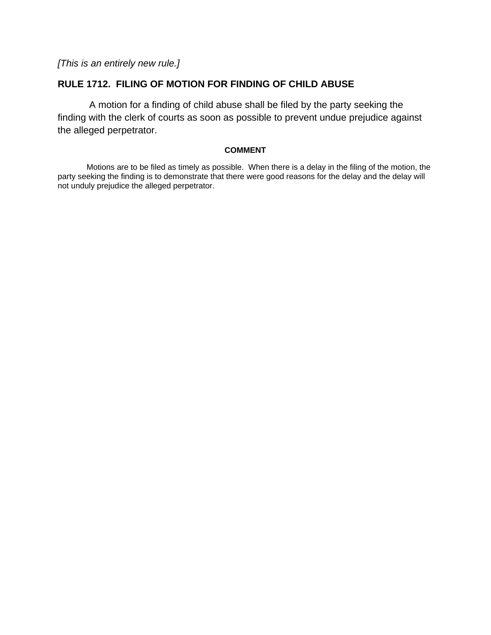*[This is an entirely new rule.]*

# **RULE 1712. FILING OF MOTION FOR FINDING OF CHILD ABUSE**

A motion for a finding of child abuse shall be filed by the party seeking the finding with the clerk of courts as soon as possible to prevent undue prejudice against the alleged perpetrator.

#### **COMMENT**

Motions are to be filed as timely as possible. When there is a delay in the filing of the motion, the party seeking the finding is to demonstrate that there were good reasons for the delay and the delay will not unduly prejudice the alleged perpetrator.